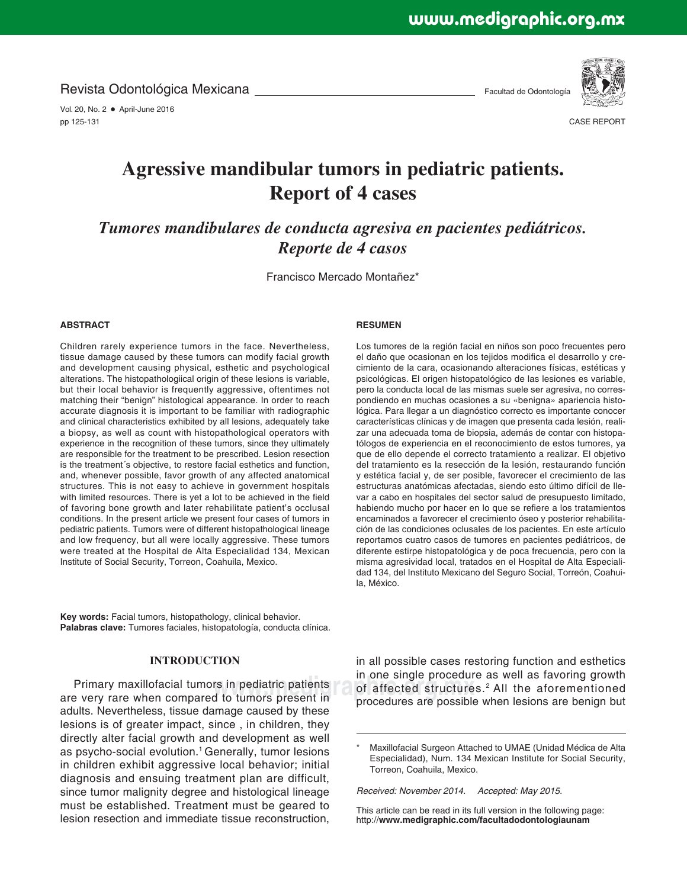Revista Odontológica Mexicana

Vol. 20, No. 2 · April-June 2016 pp 125-131

Facultad de Odontología



CASE REPORT

# **Agressive mandibular tumors in pediatric patients. Report of 4 cases**

*Tumores mandibulares de conducta agresiva en pacientes pediátricos. Reporte de 4 casos*

Francisco Mercado Montañez\*

#### **ABSTRACT**

Children rarely experience tumors in the face. Nevertheless, tissue damage caused by these tumors can modify facial growth and development causing physical, esthetic and psychological alterations. The histopathologiical origin of these lesions is variable, but their local behavior is frequently aggressive, oftentimes not matching their "benign" histological appearance. In order to reach accurate diagnosis it is important to be familiar with radiographic and clinical characteristics exhibited by all lesions, adequately take a biopsy, as well as count with histopathological operators with experience in the recognition of these tumors, since they ultimately are responsible for the treatment to be prescribed. Lesion resection is the treatment´s objective, to restore facial esthetics and function, and, whenever possible, favor growth of any affected anatomical structures. This is not easy to achieve in government hospitals with limited resources. There is yet a lot to be achieved in the field of favoring bone growth and later rehabilitate patient's occlusal conditions. In the present article we present four cases of tumors in pediatric patients. Tumors were of different histopathological lineage and low frequency, but all were locally aggressive. These tumors were treated at the Hospital de Alta Especialidad 134, Mexican Institute of Social Security, Torreon, Coahuila, Mexico.

**Key words:** Facial tumors, histopathology, clinical behavior. **Palabras clave:** Tumores faciales, histopatología, conducta clínica.

# **INTRODUCTION**

Primary maxillofacial tumors in pediatric patients are very rare when compared to tumors present in adults. Nevertheless, tissue damage caused by these lesions is of greater impact, since , in children, they directly alter facial growth and development as well as psycho-social evolution.<sup>1</sup> Generally, tumor lesions in children exhibit aggressive local behavior; initial diagnosis and ensuing treatment plan are difficult, since tumor malignity degree and histological lineage must be established. Treatment must be geared to lesion resection and immediate tissue reconstruction,

#### **RESUMEN**

Los tumores de la región facial en niños son poco frecuentes pero el daño que ocasionan en los tejidos modifica el desarrollo y crecimiento de la cara, ocasionando alteraciones físicas, estéticas y psicológicas. El origen histopatológico de las lesiones es variable, pero la conducta local de las mismas suele ser agresiva, no correspondiendo en muchas ocasiones a su «benigna» apariencia histológica. Para llegar a un diagnóstico correcto es importante conocer características clínicas y de imagen que presenta cada lesión, realizar una adecuada toma de biopsia, además de contar con histopatólogos de experiencia en el reconocimiento de estos tumores, ya que de ello depende el correcto tratamiento a realizar. El objetivo del tratamiento es la resección de la lesión, restaurando función y estética facial y, de ser posible, favorecer el crecimiento de las estructuras anatómicas afectadas, siendo esto último difícil de llevar a cabo en hospitales del sector salud de presupuesto limitado, habiendo mucho por hacer en lo que se refiere a los tratamientos encaminados a favorecer el crecimiento óseo y posterior rehabilitación de las condiciones oclusales de los pacientes. En este artículo reportamos cuatro casos de tumores en pacientes pediátricos, de diferente estirpe histopatológica y de poca frecuencia, pero con la misma agresividad local, tratados en el Hospital de Alta Especialidad 134, del Instituto Mexicano del Seguro Social, Torreón, Coahuila, México.

**we have all the mediatric patients** of affected structures.<sup>2</sup> All the aforementioned in all possible cases restoring function and esthetics in one single procedure as well as favoring growth procedures are possible when lesions are benign but

> Maxillofacial Surgeon Attached to UMAE (Unidad Médica de Alta Especialidad), Num. 134 Mexican Institute for Social Security, Torreon, Coahuila, Mexico.

*Received: November 2014. Accepted: May 2015.*

This article can be read in its full version in the following page: http://**www.medigraphic.com/facultadodontologiaunam**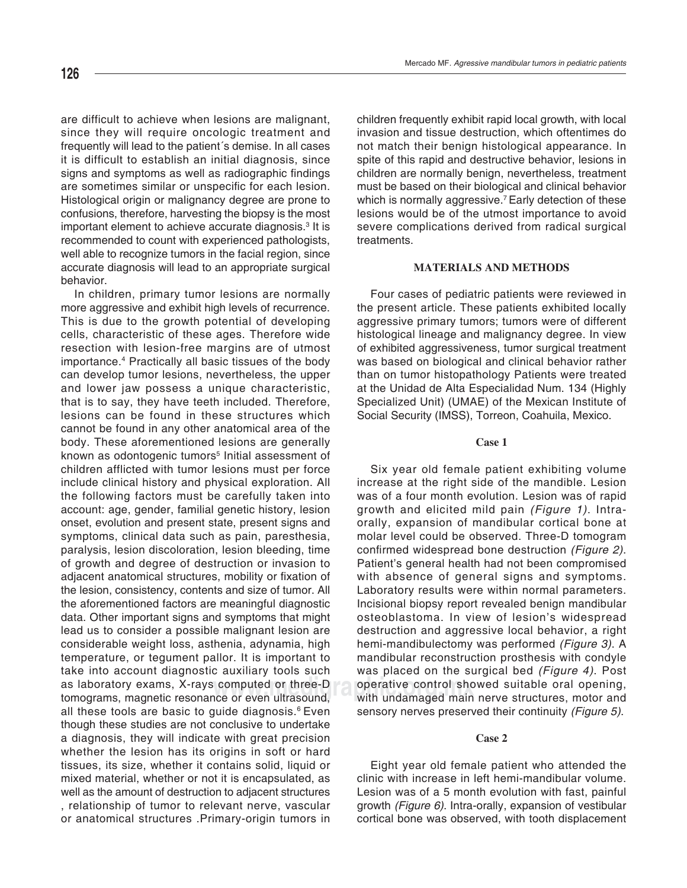are difficult to achieve when lesions are malignant, since they will require oncologic treatment and frequently will lead to the patient´s demise. In all cases it is difficult to establish an initial diagnosis, since signs and symptoms as well as radiographic findings are sometimes similar or unspecific for each lesion. Histological origin or malignancy degree are prone to confusions, therefore, harvesting the biopsy is the most important element to achieve accurate diagnosis.<sup>3</sup> It is recommended to count with experienced pathologists, well able to recognize tumors in the facial region, since accurate diagnosis will lead to an appropriate surgical behavior.

In children, primary tumor lesions are normally more aggressive and exhibit high levels of recurrence. This is due to the growth potential of developing cells, characteristic of these ages. Therefore wide resection with lesion-free margins are of utmost importance.4 Practically all basic tissues of the body can develop tumor lesions, nevertheless, the upper and lower jaw possess a unique characteristic, that is to say, they have teeth included. Therefore, lesions can be found in these structures which cannot be found in any other anatomical area of the body. These aforementioned lesions are generally known as odontogenic tumors<sup>5</sup> Initial assessment of children afflicted with tumor lesions must per force include clinical history and physical exploration. All the following factors must be carefully taken into account: age, gender, familial genetic history, lesion onset, evolution and present state, present signs and symptoms, clinical data such as pain, paresthesia, paralysis, lesion discoloration, lesion bleeding, time of growth and degree of destruction or invasion to adjacent anatomical structures, mobility or fixation of the lesion, consistency, contents and size of tumor. All the aforementioned factors are meaningful diagnostic data. Other important signs and symptoms that might lead us to consider a possible malignant lesion are considerable weight loss, asthenia, adynamia, high temperature, or tegument pallor. It is important to take into account diagnostic auxiliary tools such as laboratory exams, X-rays computed or three-D tomograms, magnetic resonance or even ultrasound, all these tools are basic to guide diagnosis.<sup>6</sup> Even though these studies are not conclusive to undertake a diagnosis, they will indicate with great precision whether the lesion has its origins in soft or hard tissues, its size, whether it contains solid, liquid or mixed material, whether or not it is encapsulated, as well as the amount of destruction to adjacent structures , relationship of tumor to relevant nerve, vascular or anatomical structures .Primary-origin tumors in

children frequently exhibit rapid local growth, with local invasion and tissue destruction, which oftentimes do not match their benign histological appearance. In spite of this rapid and destructive behavior, lesions in children are normally benign, nevertheless, treatment must be based on their biological and clinical behavior which is normally aggressive.<sup>7</sup> Early detection of these lesions would be of the utmost importance to avoid severe complications derived from radical surgical treatments.

# **MATERIALS AND METHODS**

Four cases of pediatric patients were reviewed in the present article. These patients exhibited locally aggressive primary tumors; tumors were of different histological lineage and malignancy degree. In view of exhibited aggressiveness, tumor surgical treatment was based on biological and clinical behavior rather than on tumor histopathology Patients were treated at the Unidad de Alta Especialidad Num. 134 (Highly Specialized Unit) (UMAE) of the Mexican Institute of Social Security (IMSS), Torreon, Coahuila, Mexico.

### **Case 1**

**computed or three-D** operative control showed suitable oral opening,<br>ace or even ultrasound with undamaged main nerve structures, motor and Six year old female patient exhibiting volume increase at the right side of the mandible. Lesion was of a four month evolution. Lesion was of rapid growth and elicited mild pain *(Figure 1)*. Intraorally, expansion of mandibular cortical bone at molar level could be observed. Three-D tomogram confirmed widespread bone destruction *(Figure 2)*. Patient's general health had not been compromised with absence of general signs and symptoms. Laboratory results were within normal parameters. Incisional biopsy report revealed benign mandibular osteoblastoma. In view of lesion's widespread destruction and aggressive local behavior, a right hemi-mandibulectomy was performed *(Figure 3)*. A mandibular reconstruction prosthesis with condyle was placed on the surgical bed *(Figure 4)*. Post with undamaged main nerve structures, motor and sensory nerves preserved their continuity *(Figure 5)*.

# **Case 2**

Eight year old female patient who attended the clinic with increase in left hemi-mandibular volume. Lesion was of a 5 month evolution with fast, painful growth *(Figure 6)*. Intra-orally, expansion of vestibular cortical bone was observed, with tooth displacement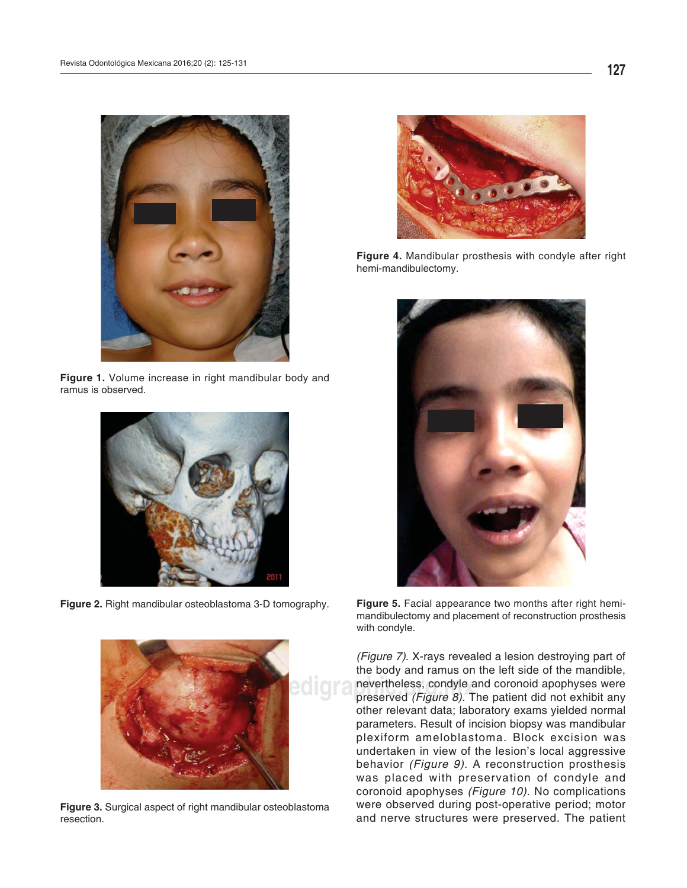

**Figure 1.** Volume increase in right mandibular body and ramus is observed.



**Figure 2.** Right mandibular osteoblastoma 3-D tomography.



**Figure 3.** Surgical aspect of right mandibular osteoblastoma resection.



**Figure 4.** Mandibular prosthesis with condyle after right hemi-mandibulectomy.



**Figure 5.** Facial appearance two months after right hemimandibulectomy and placement of reconstruction prosthesis with condyle.

**Nevertheless, condyle and coronoid apophyses were**<br>
nevertheless, condyle and coronoid apophyses were<br>
nevertheless, condyle and coronoid apophyses were<br>
nevertheless, condyle and coronoid apophyses were *(Figure 7)*. X-rays revealed a lesion destroying part of the body and ramus on the left side of the mandible, preserved *(Figure 8)*. The patient did not exhibit any other relevant data; laboratory exams yielded normal parameters. Result of incision biopsy was mandibular plexiform ameloblastoma. Block excision was undertaken in view of the lesion's local aggressive behavior *(Figure 9)*. A reconstruction prosthesis was placed with preservation of condyle and coronoid apophyses *(Figure 10)*. No complications were observed during post-operative period; motor and nerve structures were preserved. The patient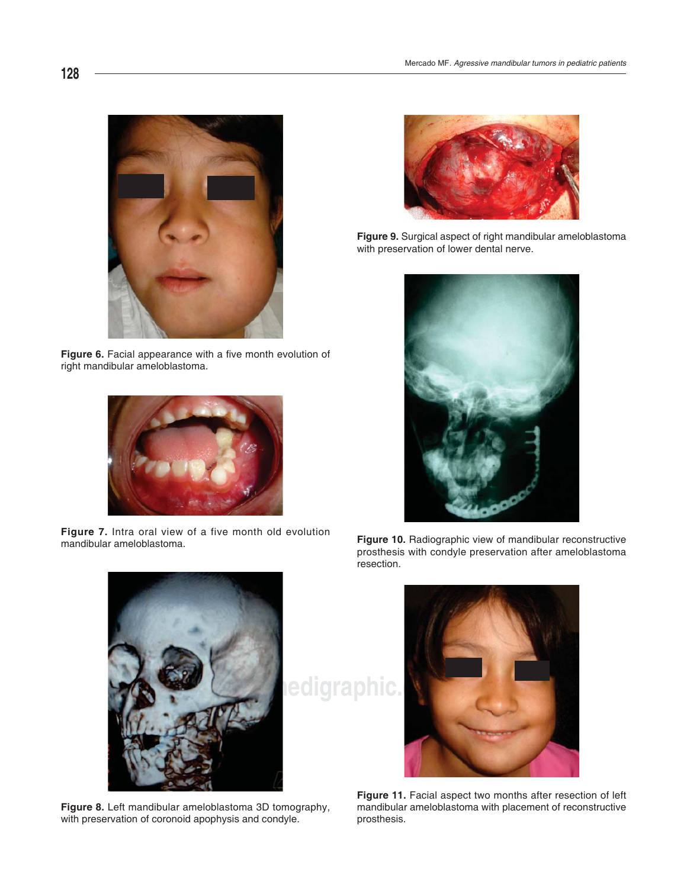

Figure 6. Facial appearance with a five month evolution of right mandibular ameloblastoma.



**Figure 7.** Intra oral view of a five month old evolution mandibular ameloblastoma.



**Figure 9.** Surgical aspect of right mandibular ameloblastoma with preservation of lower dental nerve.



**Figure 10.** Radiographic view of mandibular reconstructive prosthesis with condyle preservation after ameloblastoma resection.



**Figure 8.** Left mandibular ameloblastoma 3D tomography, with preservation of coronoid apophysis and condyle.



**Figure 11.** Facial aspect two months after resection of left mandibular ameloblastoma with placement of reconstructive prosthesis.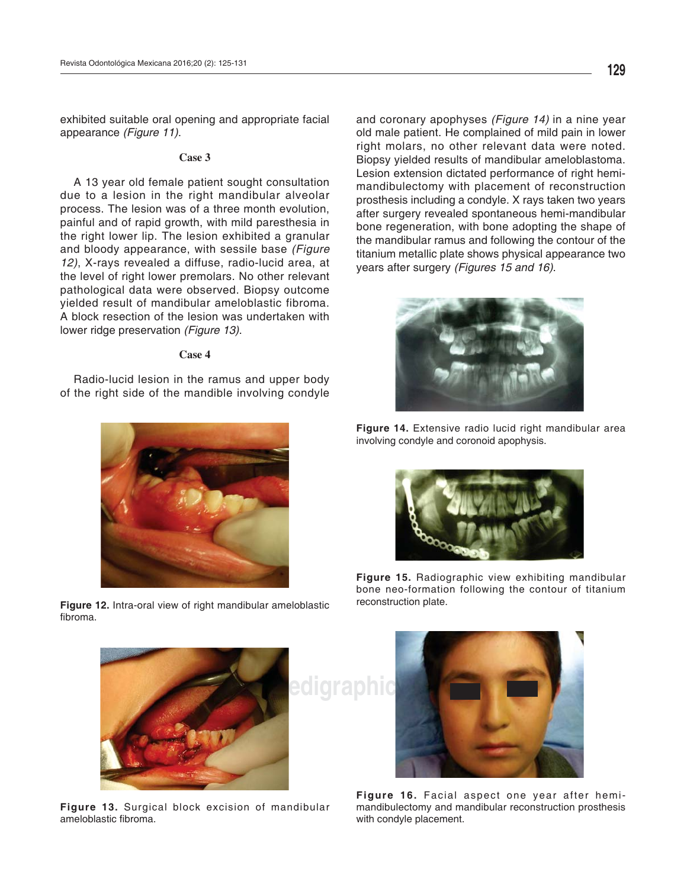exhibited suitable oral opening and appropriate facial appearance *(Figure 11)*.

#### **Case 3**

A 13 year old female patient sought consultation due to a lesion in the right mandibular alveolar process. The lesion was of a three month evolution, painful and of rapid growth, with mild paresthesia in the right lower lip. The lesion exhibited a granular and bloody appearance, with sessile base *(Figure 12)*, X-rays revealed a diffuse, radio-lucid area, at the level of right lower premolars. No other relevant pathological data were observed. Biopsy outcome yielded result of mandibular ameloblastic fibroma. A block resection of the lesion was undertaken with lower ridge preservation *(Figure 13)*.

#### **Case 4**

Radio-lucid lesion in the ramus and upper body of the right side of the mandible involving condyle



**Figure 12.** Intra-oral view of right mandibular ameloblastic fibroma.

and coronary apophyses *(Figure 14)* in a nine year old male patient. He complained of mild pain in lower right molars, no other relevant data were noted. Biopsy yielded results of mandibular ameloblastoma. Lesion extension dictated performance of right hemimandibulectomy with placement of reconstruction prosthesis including a condyle. X rays taken two years after surgery revealed spontaneous hemi-mandibular bone regeneration, with bone adopting the shape of the mandibular ramus and following the contour of the titanium metallic plate shows physical appearance two years after surgery *(Figures 15 and 16)*.



**Figure 14.** Extensive radio lucid right mandibular area involving condyle and coronoid apophysis.



**Figure 15.** Radiographic view exhibiting mandibular bone neo-formation following the contour of titanium reconstruction plate.



**Figure 13.** Surgical block excision of mandibular ameloblastic fibroma.



**Figure 16.** Facial aspect one year after hemimandibulectomy and mandibular reconstruction prosthesis with condyle placement.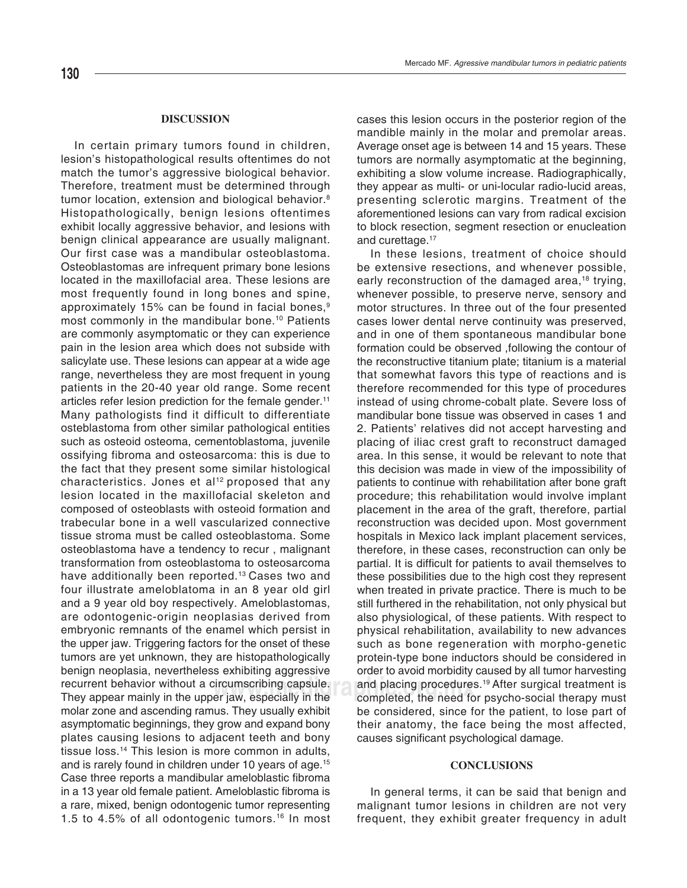In certain primary tumors found in children, lesion's histopathological results oftentimes do not match the tumor's aggressive biological behavior. Therefore, treatment must be determined through tumor location, extension and biological behavior.<sup>8</sup> Histopathologically, benign lesions oftentimes exhibit locally aggressive behavior, and lesions with benign clinical appearance are usually malignant. Our first case was a mandibular osteoblastoma. Osteoblastomas are infrequent primary bone lesions located in the maxillofacial area. These lesions are most frequently found in long bones and spine, approximately 15% can be found in facial bones,<sup>9</sup> most commonly in the mandibular bone.<sup>10</sup> Patients are commonly asymptomatic or they can experience pain in the lesion area which does not subside with salicylate use. These lesions can appear at a wide age range, nevertheless they are most frequent in young patients in the 20-40 year old range. Some recent articles refer lesion prediction for the female gender.<sup>11</sup> Many pathologists find it difficult to differentiate osteblastoma from other similar pathological entities such as osteoid osteoma, cementoblastoma, juvenile ossifying fibroma and osteosarcoma: this is due to the fact that they present some similar histological characteristics. Jones et al<sup>12</sup> proposed that any lesion located in the maxillofacial skeleton and composed of osteoblasts with osteoid formation and trabecular bone in a well vascularized connective tissue stroma must be called osteoblastoma. Some osteoblastoma have a tendency to recur , malignant transformation from osteoblastoma to osteosarcoma have additionally been reported.<sup>13</sup> Cases two and four illustrate ameloblatoma in an 8 year old girl and a 9 year old boy respectively. Ameloblastomas, are odontogenic-origin neoplasias derived from embryonic remnants of the enamel which persist in the upper jaw. Triggering factors for the onset of these tumors are yet unknown, they are histopathologically benign neoplasia, nevertheless exhibiting aggressive recurrent behavior without a circumscribing capsule. They appear mainly in the upper jaw, especially in the molar zone and ascending ramus. They usually exhibit asymptomatic beginnings, they grow and expand bony plates causing lesions to adjacent teeth and bony tissue loss.14 This lesion is more common in adults, and is rarely found in children under 10 years of age.<sup>15</sup> Case three reports a mandibular ameloblastic fibroma in a 13 year old female patient. Ameloblastic fibroma is a rare, mixed, benign odontogenic tumor representing 1.5 to 4.5% of all odontogenic tumors.16 In most cases this lesion occurs in the posterior region of the mandible mainly in the molar and premolar areas. Average onset age is between 14 and 15 years. These tumors are normally asymptomatic at the beginning, exhibiting a slow volume increase. Radiographically, they appear as multi- or uni-locular radio-lucid areas, presenting sclerotic margins. Treatment of the aforementioned lesions can vary from radical excision to block resection, segment resection or enucleation and curettage.<sup>17</sup>

rificumscribing capsule. And placing procedures.<sup>19</sup> After surgical treatment is<br>er jaw especially in the completed, the need for psycho-social therapy must In these lesions, treatment of choice should be extensive resections, and whenever possible, early reconstruction of the damaged area,<sup>18</sup> trying, whenever possible, to preserve nerve, sensory and motor structures. In three out of the four presented cases lower dental nerve continuity was preserved, and in one of them spontaneous mandibular bone formation could be observed ,following the contour of the reconstructive titanium plate; titanium is a material that somewhat favors this type of reactions and is therefore recommended for this type of procedures instead of using chrome-cobalt plate. Severe loss of mandibular bone tissue was observed in cases 1 and 2. Patients' relatives did not accept harvesting and placing of iliac crest graft to reconstruct damaged area. In this sense, it would be relevant to note that this decision was made in view of the impossibility of patients to continue with rehabilitation after bone graft procedure; this rehabilitation would involve implant placement in the area of the graft, therefore, partial reconstruction was decided upon. Most government hospitals in Mexico lack implant placement services, therefore, in these cases, reconstruction can only be partial. It is difficult for patients to avail themselves to these possibilities due to the high cost they represent when treated in private practice. There is much to be still furthered in the rehabilitation, not only physical but also physiological, of these patients. With respect to physical rehabilitation, availability to new advances such as bone regeneration with morpho-genetic protein-type bone inductors should be considered in order to avoid morbidity caused by all tumor harvesting completed, the need for psycho-social therapy must be considered, since for the patient, to lose part of their anatomy, the face being the most affected, causes significant psychological damage.

# **CONCLUSIONS**

In general terms, it can be said that benign and malignant tumor lesions in children are not very frequent, they exhibit greater frequency in adult